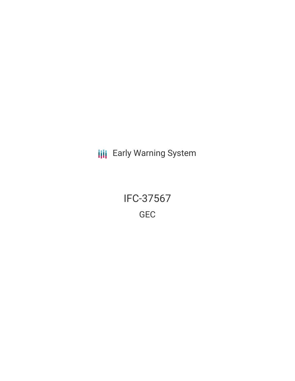**III** Early Warning System

IFC-37567 GEC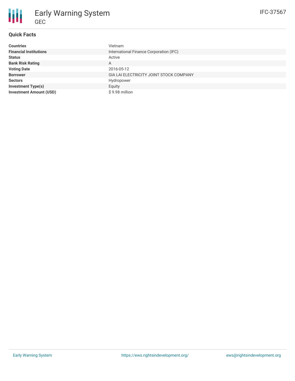

## **Quick Facts**

| <b>Countries</b>               | Vietnam                                 |
|--------------------------------|-----------------------------------------|
| <b>Financial Institutions</b>  | International Finance Corporation (IFC) |
| <b>Status</b>                  | Active                                  |
| <b>Bank Risk Rating</b>        | A                                       |
| <b>Voting Date</b>             | 2016-05-12                              |
| <b>Borrower</b>                | GIA LAI ELECTRICITY JOINT STOCK COMPANY |
| <b>Sectors</b>                 | Hydropower                              |
| <b>Investment Type(s)</b>      | Equity                                  |
| <b>Investment Amount (USD)</b> | \$9.98 million                          |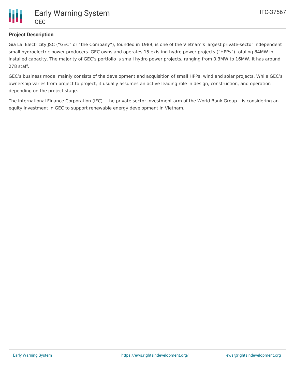

## **Project Description**

Gia Lai Electricity JSC ("GEC" or "the Company"), founded in 1989, is one of the Vietnam's largest private-sector independent small hydroelectric power producers. GEC owns and operates 15 existing hydro power projects ("HPPs") totaling 84MW in installed capacity. The majority of GEC's portfolio is small hydro power projects, ranging from 0.3MW to 16MW. It has around 278 staff.

GEC's business model mainly consists of the development and acquisition of small HPPs, wind and solar projects. While GEC's ownership varies from project to project, it usually assumes an active leading role in design, construction, and operation depending on the project stage.

The International Finance Corporation (IFC) – the private sector investment arm of the World Bank Group – is considering an equity investment in GEC to support renewable energy development in Vietnam.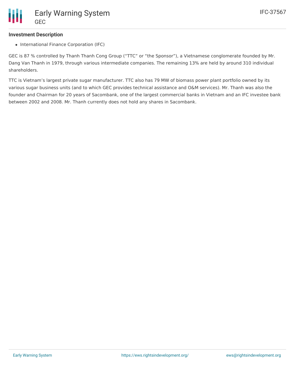#### **Investment Description**

• International Finance Corporation (IFC)

GEC is 87 % controlled by Thanh Thanh Cong Group ("TTC" or "the Sponsor"), a Vietnamese conglomerate founded by Mr. Dang Van Thanh in 1979, through various intermediate companies. The remaining 13% are held by around 310 individual shareholders.

TTC is Vietnam's largest private sugar manufacturer. TTC also has 79 MW of biomass power plant portfolio owned by its various sugar business units (and to which GEC provides technical assistance and O&M services). Mr. Thanh was also the founder and Chairman for 20 years of Sacombank, one of the largest commercial banks in Vietnam and an IFC investee bank between 2002 and 2008. Mr. Thanh currently does not hold any shares in Sacombank.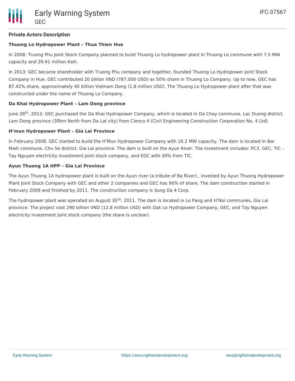## **Private Actors Description**

## **Thuong Lo Hydropower Plant – Thua Thien Hue**

In 2008: Truong Phu Joint Stock Company planned to build Thuong Lo hydropower plant in Thuong Lo commune with 7.5 MW capacity and 29.41 million Kwh.

In 2013: GEC became shareholder with Truong Phu company and together, founded Thuong Lo Hydropower Joint Stock Company in Hue. GEC contributed 20 billion VND (787,000 USD) as 50% share in Thuong Lo Company. Up to now, GEC has 87.42% share, approximately 40 billion Vietnam Dong (1.8 million USD). The Thuong Lo Hydropower plant after that was constructed under the name of Thuong Lo Company.

#### **Da Khai Hydropower Plant – Lam Dong province**

June 28<sup>th</sup>, 2013: GEC purchased the Da Khai Hydropower Company, which is located in Da Chay commune, Lac Duong district, Lam Dong province (30km North from Da Lat city) from Cienco 4 (Civil Engineering Construction Corporation No. 4 Ltd).

#### **H'mun Hydropower Plant – Gia Lai Province**

In February 2008, GEC started to build the H'Mun Hydropower Company with 16.2 MW capacity. The dam is located in Bar Maih commune, Chu Se district, Gia Lai province. The dam is built on the Ayun River. The investment includes: PC3, GEC, TIC – Tay Nguyen electricity investment joint stock company, and EDC with 30% from TIC.

#### **Ayun Thuong 1A HPP – Gia Lai Province**

The Ayun Thuong 1A hydropower plant is built on the Ayun river (a tribute of Ba River) , invested by Ayun Thuong Hydropower Plant Joint Stock Company with GEC and other 2 companies and GEC has 90% of share. The dam construction started in February 2009 and finished by 2011. The construction company is Song Da 4 Corp.

The hydropower plant was operated on August 30<sup>th</sup>, 2011. The dam is located in Lo Pang and H'Noi communes, Gia Lai province. The project cost 290 billion VND (12.8 million USD) with Dak Lo Hydropower Company, GEC, and Tay Nguyen electricity investment joint stock company (the share is unclear).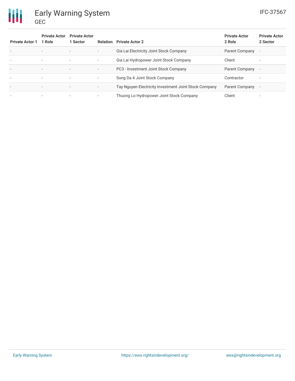# Early Warning System GEC

冊

| <b>Private Actor 1</b>   | <b>Private Actor</b><br>1 Role | <b>Private Actor</b><br>1 Sector | Relation                 | <b>Private Actor 2</b>                                | <b>Private Actor</b><br>2 Role | <b>Private Actor</b><br>2 Sector |
|--------------------------|--------------------------------|----------------------------------|--------------------------|-------------------------------------------------------|--------------------------------|----------------------------------|
| $\overline{\phantom{a}}$ | $\overline{\phantom{a}}$       | $\overline{\phantom{a}}$         | $\overline{\phantom{a}}$ | Gia Lai Electricity Joint Stock Company               | Parent Company                 | $\overline{\phantom{a}}$         |
| $\overline{\phantom{a}}$ | $\overline{\phantom{a}}$       | $\overline{\phantom{a}}$         | ٠.                       | Gia Lai Hydropower Joint Stock Company                | Client                         | $\overline{\phantom{a}}$         |
| $\overline{\phantom{a}}$ | $\overline{\phantom{a}}$       | $\overline{\phantom{a}}$         | ۰.                       | PC3 - Investment Joint Stock Company                  | Parent Company                 | $\overline{\phantom{a}}$         |
| $\overline{\phantom{a}}$ | $\overline{\phantom{a}}$       | $\overline{\phantom{a}}$         | ٠.                       | Song Da 4 Joint Stock Company                         | Contractor                     | $\overline{\phantom{a}}$         |
| $\overline{\phantom{a}}$ |                                | $\overline{\phantom{a}}$         | $\overline{\phantom{a}}$ | Tay Nguyen Electricity Investment Joint Stock Company | Parent Company                 | $\overline{\phantom{a}}$         |
|                          |                                | $\overline{\phantom{a}}$         |                          | Thuong Lo Hydropower Joint Stock Company              | Client                         |                                  |